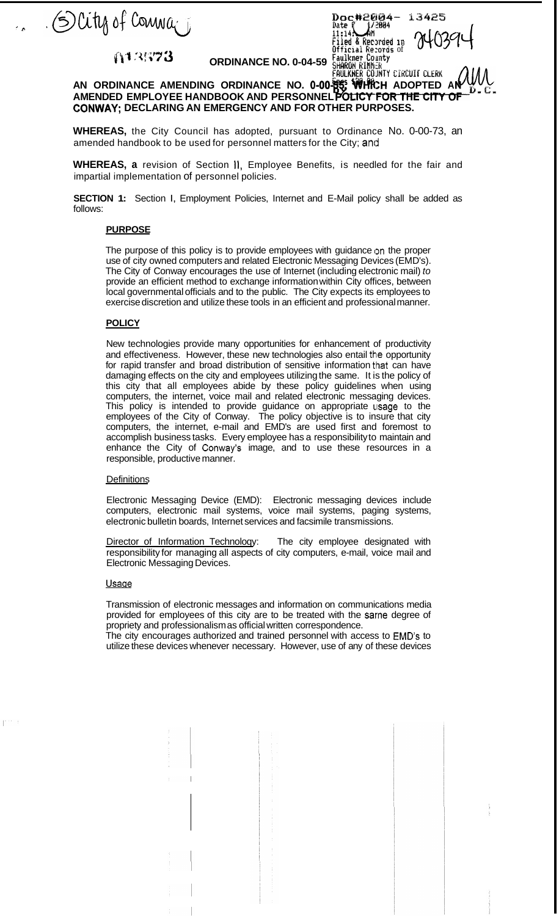

A13573

## **ORDINANCE NO. 0-04-59**

# Filed & Recorded in MUC.<br>Official Recorded in MUC.<br>Faulkner County<br>SHARON RINNER<br>FAULKNER COUNTY CIRCUIT CLERK AN ORDINANCE AMENDING ORDINANCE NO. 0-00-855 WHICH ADOPTED AN AMENDED EMPLOYEE HANDBOOK AND PERSONNEL POLICY FOR THE CITY OF CONWAY; DECLARING AN EMERGENCY AND FOR OTHER PURPOSES.

Doc#2004-<br>Date  $\{-\frac{1}{2004}$ 

 $\frac{1}{4}$ n

vate p<br>Li:14?

13425

**WHEREAS,** the City Council has adopted, pursuant to Ordinance No. 0-00-73, an amended handbook to be used for personnel matters for the City; and

**WHEREAS, a** revision of Section II, Employee Benefits, is needled for the fair and impartial implementation of personnel policies.

**SECTION 1:** Section I, Employment Policies, Internet and E-Mail policy shall be added as follows:

## **PURPOSE**

The purpose of this policy is to provide employees with guidance on the proper use of city owned computers and related Electronic Messaging Devices (EMD's). The City of Conway encourages the use of Internet (including electronic mail) to provide an efficient method to exchange information within City offices, between local governmental officials and to the public. The City expects its employees to exercise discretion and utilize these tools in an efficient and professional manner.

#### **POLICY**

New technologies provide many opportunities for enhancement of productivity and effectiveness. However, these new technologies also entail the opportunity for rapid transfer and broad distribution of sensitive information that can have damaging effects on the city and employees utilizing the same. It is the policy of this city that all employees abide by these policy guidelines when using computers, the internet, voice mail and related electronic messaging devices. This policy is intended to provide guidance on appropriate usage to the<br>employees of the City of Conway. The policy objective is to insure that city computers, the internet, e-mail and EMD's are used first and foremost to accomplish business tasks. Every employee has a responsibility to maintain and enhance the City of Conway's image, and to use these resources in a responsible, productive manner.

#### Definitions

Electronic Messaging Device (EMD): Electronic messaging devices include computers, electronic mail systems, voice mail systems, paging systems, electronic bulletin boards, Internet services and facsimile transmissions.

Director of Information Technology: The city employee designated with responsibility for managing all aspects of city computers, e-mail, voice mail and Electronic Messaging Devices.

#### Usage

 $\left| \frac{1}{2} \right|^{1/2} = 1$ 

Transmission of electronic messages and information on communications media provided for employees of this city are to be treated with the sarne degree of propriety and professionalism as official written correspondence.

The city encourages authorized and trained personnel with access to EMD's to utilize these devices whenever necessary. However, use of any of these devices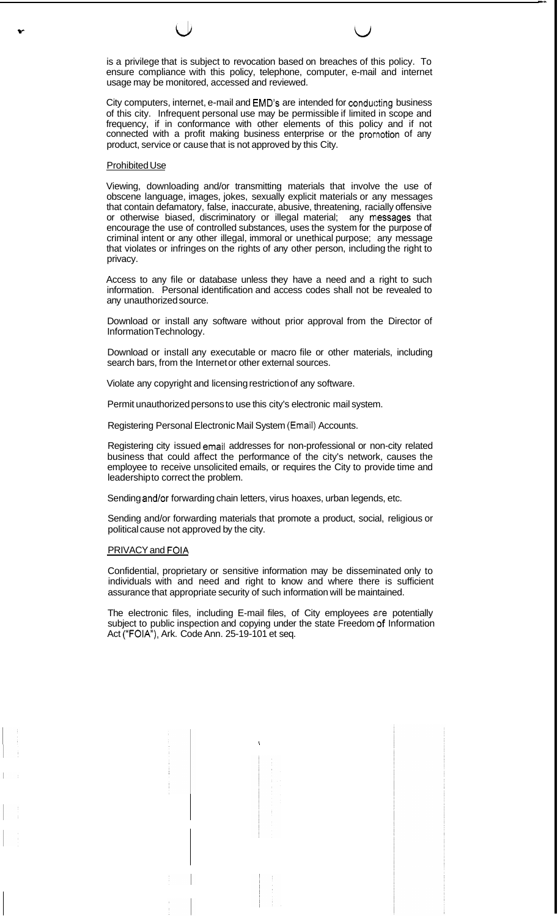is a privilege that is subject to revocation based on breaches of this policy. To ensure compliance with this policy, telephone, computer, e-mail and internet usage may be monitored, accessed and reviewed.

*<sup>Y</sup>*L,

City computers, internet, e-mail and EMD's are intended for conducting business of this city. Infrequent personal use may be permissible if limited in scope and frequency, if in conformance with other elements of this policy and if not connected with a profit making business enterprise or the promotion of any product, service or cause that is not approved by this City.

### Prohibited Use

Viewing, downloading and/or transmitting materials that involve the use of obscene language, images, jokes, sexually explicit materials or any messages that contain defamatory, false, inaccurate, abusive, threatening, racially offensive or otherwise biased, discriminatory or illegal material; any messages that encourage the use of controlled substances, uses the system for the purpose of criminal intent or any other illegal, immoral or unethical purpose; any message that violates or infringes on the rights of any other person, including the right to privacy.

Access to any file or database unless they have a need and a right to such information. Personal identification and access codes shall not be revealed to any unauthorized source.

Download or install any software without prior approval from the Director of Information Technology.

Download or install any executable or macro file or other materials, including search bars, from the Internet or other external sources.

Violate any copyright and licensing restriction of any software.

Permit unauthorized persons to use this city's electronic mail system.

Registering Personal Electronic Mail System (Email) Accounts.

Registering city issued email addresses for non-professional or non-city related business that could affect the performance of the city's network, causes the employee to receive unsolicited emails, or requires the City to provide time and leadership to correct the problem.

Sending and/or forwarding chain letters, virus hoaxes, urban legends, etc.

Sending and/or forwarding materials that promote a product, social, religious or political cause not approved by the city.

#### PRIVACY and FOIA

Confidential, proprietary or sensitive information may be disseminated only to individuals with and need and right to know and where there is sufficient assurance that appropriate security of such information will be maintained.

The electronic files, including E-mail files, of City employees are potentially subject to public inspection and copying under the state Freedom of Information Act ("FOIA"), Ark. Code Ann. 25-19-101 et seq.

I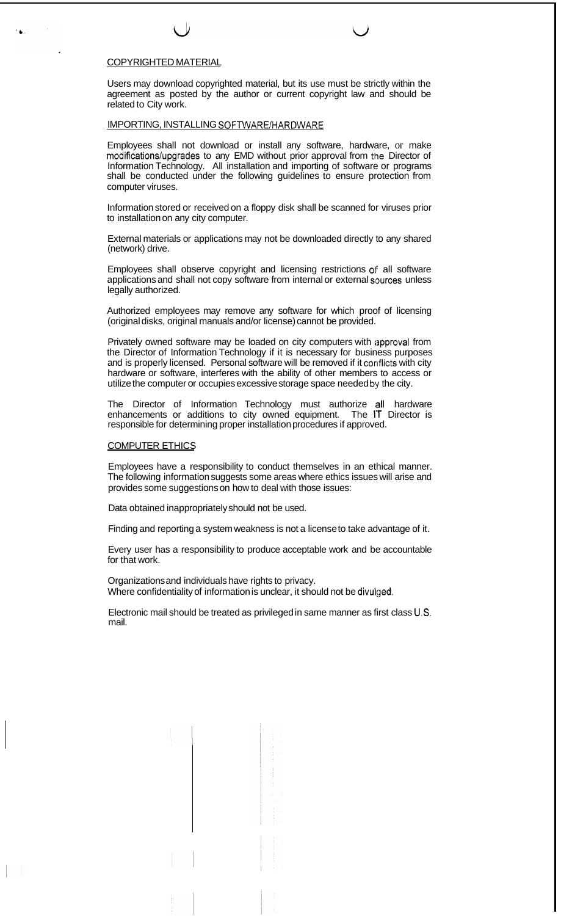#### COPYRIGHTED MATERIAL

Users may download copyrighted material, but its use must be strictly within the agreement as posted by the author or current copyright law and should be related to City work.

## IMPORTING, INSTALLING SOFTWARE/HARDWARE

Employees shall not download or install any software, hardware, or make modifications/upgrades to any EMD without prior approval from the Director of Information Technology. All installation and importing of software or programs shall be conducted under the following guidelines to ensure protection from computer viruses.

Information stored or received on a floppy disk shall be scanned for viruses prior to installation on any city computer.

External materials or applications may not be downloaded directly to any shared (network) drive.

Employees shall observe copyright and licensing restrictions of all software applications and shall not copy software from internal or external sources unless legally authorized.

Authorized employees may remove any software for which proof of licensing (original disks, original manuals and/or license) cannot be provided.

Privately owned software may be loaded on city computers with approval from the Director of Information Technology if it is necessary for business purposes and is properly licensed. Personal software will be removed if it coriflicts with city hardware or software, interferes with the ability of other members to access or utilize the computer or occupies excessive storage space needed by the city.

The Director of Information Technology must authorize all hardware enhancements or additions to city owned equipment. The **IT** Director is responsible for determining proper installation procedures if approved.

### COMPUTER ETHICS

Employees have a responsibility to conduct themselves in an ethical manner. The following information suggests some areas where ethics issues will arise and provides some suggestions on how to deal with those issues:

Data obtained inappropriately should not be used.

Finding and reporting a system weakness is not a license to take advantage of it.

Every user has a responsibility to produce acceptable work and be accountable for that work.

Organizations and individuals have rights to privacy. Where confidentiality of information is unclear, it should not be divulged.

Electronic mail should be treated as privileged in same manner as first class U.S. mail.